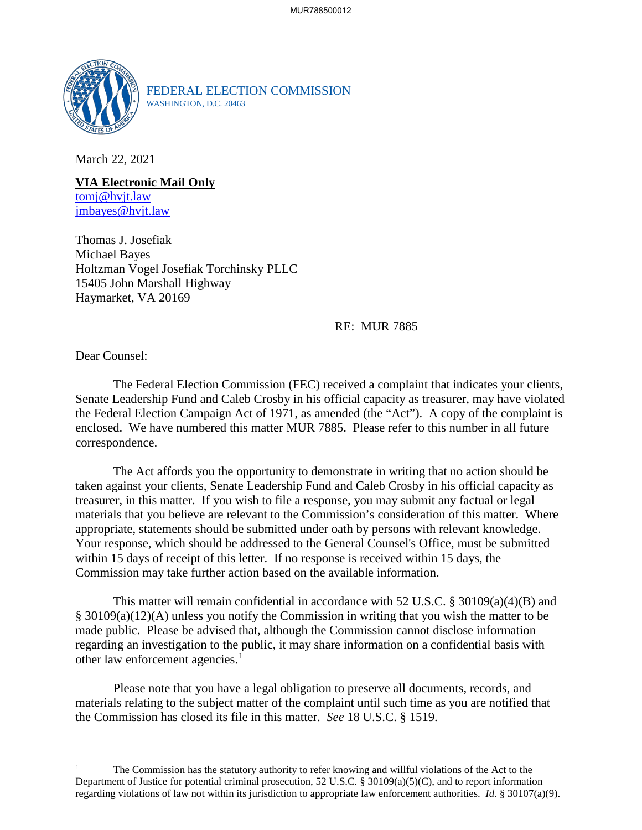

FEDERAL ELECTION COMMISSION WASHINGTON, D.C. 20463

March 22, 2021

**VIA Electronic Mail Only** tomj@hvjt.law jmbayes@hvjt.law

Thomas J. Josefiak Michael Bayes Holtzman Vogel Josefiak Torchinsky PLLC 15405 John Marshall Highway Haymarket, VA 20169

RE: MUR 7885

Dear Counsel:

The Federal Election Commission (FEC) received a complaint that indicates your clients, Senate Leadership Fund and Caleb Crosby in his official capacity as treasurer, may have violated the Federal Election Campaign Act of 1971, as amended (the "Act"). A copy of the complaint is enclosed. We have numbered this matter MUR 7885. Please refer to this number in all future correspondence.

The Act affords you the opportunity to demonstrate in writing that no action should be taken against your clients, Senate Leadership Fund and Caleb Crosby in his official capacity as treasurer, in this matter. If you wish to file a response, you may submit any factual or legal materials that you believe are relevant to the Commission's consideration of this matter. Where appropriate, statements should be submitted under oath by persons with relevant knowledge. Your response, which should be addressed to the General Counsel's Office, must be submitted within 15 days of receipt of this letter. If no response is received within 15 days, the Commission may take further action based on the available information.

This matter will remain confidential in accordance with 52 U.S.C. § 30109(a)(4)(B) and § 30109(a)(12)(A) unless you notify the Commission in writing that you wish the matter to be made public. Please be advised that, although the Commission cannot disclose information regarding an investigation to the public, it may share information on a confidential basis with other law enforcement agencies.<sup>1</sup>

Please note that you have a legal obligation to preserve all documents, records, and materials relating to the subject matter of the complaint until such time as you are notified that the Commission has closed its file in this matter. *See* 18 U.S.C. § 1519.

<sup>1</sup> The Commission has the statutory authority to refer knowing and willful violations of the Act to the Department of Justice for potential criminal prosecution, 52 U.S.C. § 30109(a)(5)(C), and to report information regarding violations of law not within its jurisdiction to appropriate law enforcement authorities. *Id.* § 30107(a)(9).